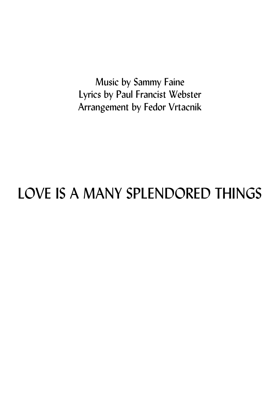Music by Sammy Faine Lyrics by Paul Francist Webster Arrangement by Fedor Vrtacnik

## LOVE IS A MANY SPLENDORED THINGS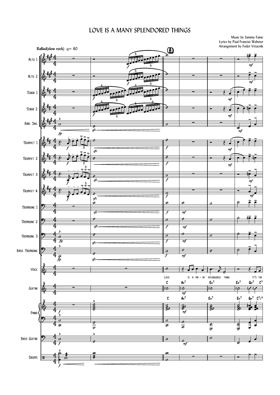## LOVE IS A MANY SPLENDORED THINGS

Music by Sammy Faine Lyrics by Paul Francist Webster